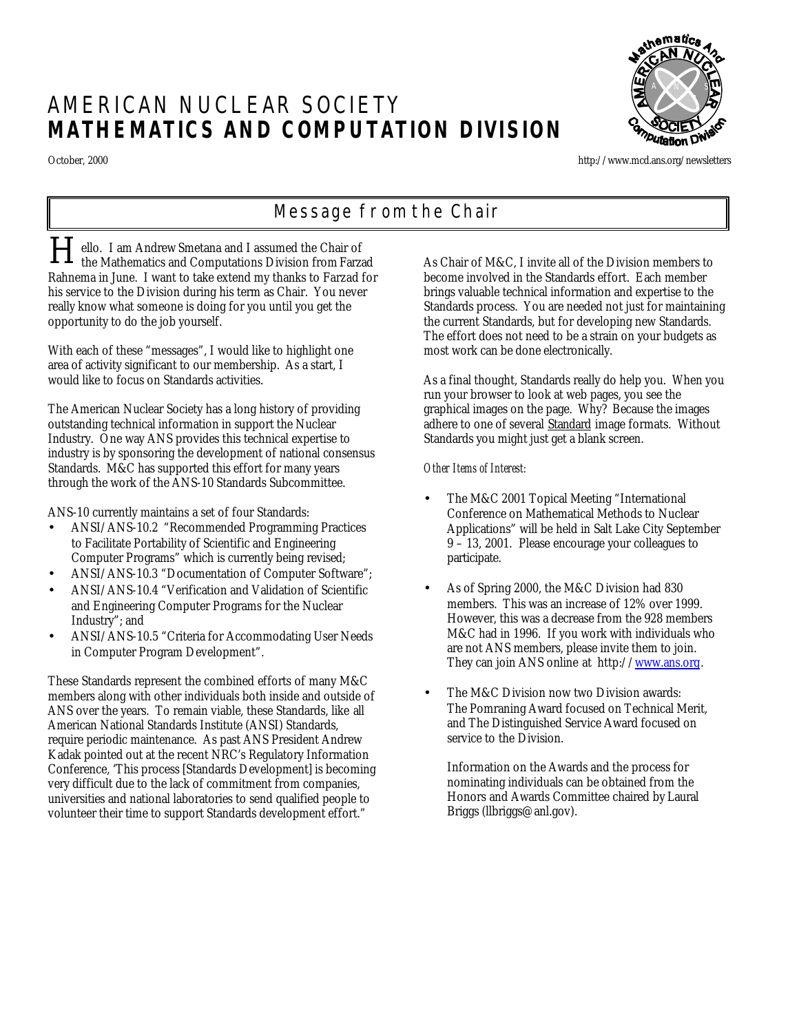# AMERICAN NUCLEAR SOCIETY **MATHEMATICS AND COMPUTATION DIVISION**

<sub>:h</sub>ematics A N S

October, 2000 http://www.mcd.ans.org/newsletters

# *Message from the Chair*

ello. I am Andrew Smetana and I assumed the Chair of the Mathematics and Computations Division from Farzad Rahnema in June. I want to take extend my thanks to Farzad for his service to the Division during his term as Chair. You never really know what someone is doing for you until you get the opportunity to do the job yourself. H

With each of these "messages", I would like to highlight one area of activity significant to our membership. As a start, I would like to focus on Standards activities.

The American Nuclear Society has a long history of providing outstanding technical information in support the Nuclear Industry. One way ANS provides this technical expertise to industry is by sponsoring the development of national consensus Standards. M&C has supported this effort for many years through the work of the ANS-10 Standards Subcommittee.

ANS-10 currently maintains a set of four Standards:

- ANSI/ANS-10.2 "Recommended Programming Practices to Facilitate Portability of Scientific and Engineering Computer Programs" which is currently being revised;
- ANSI/ANS-10.3 "Documentation of Computer Software";
- ANSI/ANS-10.4 "Verification and Validation of Scientific and Engineering Computer Programs for the Nuclear Industry"; and
- ANSI/ANS-10.5 "Criteria for Accommodating User Needs in Computer Program Development".

These Standards represent the combined efforts of many M&C members along with other individuals both inside and outside of ANS over the years. To remain viable, these Standards, like all American National Standards Institute (ANSI) Standards, require periodic maintenance. As past ANS President Andrew Kadak pointed out at the recent NRC's Regulatory Information Conference, 'This process [Standards Development] is becoming very difficult due to the lack of commitment from companies, universities and national laboratories to send qualified people to volunteer their time to support Standards development effort."

As Chair of M&C, I invite all of the Division members to become involved in the Standards effort. Each member brings valuable technical information and expertise to the Standards process. You are needed not just for maintaining the current Standards, but for developing new Standards. The effort does not need to be a strain on your budgets as most work can be done electronically.

As a final thought, Standards really do help you. When you run your browser to look at web pages, you see the graphical images on the page. Why? Because the images adhere to one of several Standard image formats. Without Standards you might just get a blank screen.

### *Other Items of Interest:*

- The M&C 2001 Topical Meeting "International Conference on Mathematical Methods to Nuclear Applications" will be held in Salt Lake City September 9 – 13, 2001. Please encourage your colleagues to participate.
- As of Spring 2000, the M&C Division had 830 members. This was an increase of 12% over 1999. However, this was a decrease from the 928 members M&C had in 1996. If you work with individuals who are not ANS members, please invite them to join. They can join ANS online at http://www.ans.org.
- The M&C Division now two Division awards: The Pomraning Award focused on Technical Merit, and The Distinguished Service Award focused on service to the Division.

Information on the Awards and the process for nominating individuals can be obtained from the Honors and Awards Committee chaired by Laural Briggs (llbriggs@anl.gov).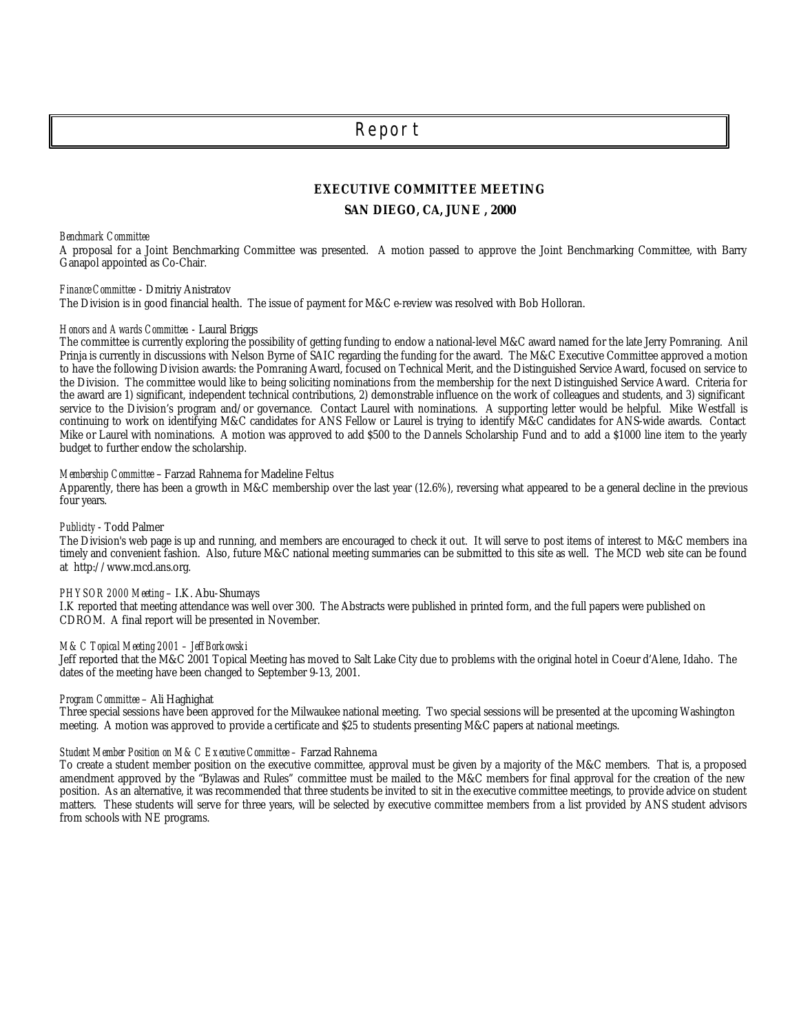## *Report*

### **EXECUTIVE COMMITTEE MEETING**

#### **SAN DIEGO, CA, JUNE , 2000**

*Benchmark Committee*

A proposal for a Joint Benchmarking Committee was presented. A motion passed to approve the Joint Benchmarking Committee, with Barry Ganapol appointed as Co-Chair.

*Finance Committee* - Dmitriy Anistratov

The Division is in good financial health. The issue of payment for M&C e-review was resolved with Bob Holloran.

#### *Honors and Awards Committee*. - Laural Briggs

The committee is currently exploring the possibility of getting funding to endow a national-level M&C award named for the late Jerry Pomraning. Anil Prinja is currently in discussions with Nelson Byrne of SAIC regarding the funding for the award. The M&C Executive Committee approved a motion to have the following Division awards: the Pomraning Award, focused on Technical Merit, and the Distinguished Service Award, focused on service to the Division. The committee would like to being soliciting nominations from the membership for the next Distinguished Service Award. Criteria for the award are 1) significant, independent technical contributions, 2) demonstrable influence on the work of colleagues and students, and 3) significant service to the Division's program and/or governance. Contact Laurel with nominations. A supporting letter would be helpful. Mike Westfall is continuing to work on identifying M&C candidates for ANS Fellow or Laurel is trying to identify M&C candidates for ANS-wide awards. Contact Mike or Laurel with nominations. A motion was approved to add \$500 to the Dannels Scholarship Fund and to add a \$1000 line item to the yearly budget to further endow the scholarship.

#### *Membership Committee* – Farzad Rahnema for Madeline Feltus

Apparently, there has been a growth in M&C membership over the last year (12.6%), reversing what appeared to be a general decline in the previous four years.

#### *Publicity* - Todd Palmer

The Division's web page is up and running, and members are encouraged to check it out. It will serve to post items of interest to M&C members ina timely and convenient fashion. Also, future M&C national meeting summaries can be submitted to this site as well. The MCD web site can be found at http://www.mcd.ans.org.

#### *PHYSOR 2000 Meeting* – I.K. Abu-Shumays

I.K reported that meeting attendance was well over 300. The Abstracts were published in printed form, and the full papers were published on CDROM. A final report will be presented in November.

#### *M&C Topical Meeting 2001 – Jeff Borkowski*

Jeff reported that the M&C 2001 Topical Meeting has moved to Salt Lake City due to problems with the original hotel in Coeur d'Alene, Idaho. The dates of the meeting have been changed to September 9-13, 2001.

#### *Program Committee* – Ali Haghighat

Three special sessions have been approved for the Milwaukee national meeting. Two special sessions will be presented at the upcoming Washington meeting. A motion was approved to provide a certificate and \$25 to students presenting M&C papers at national meetings.

#### Student Member Position on M&C Executive Committee - Farzad Rahnema

To create a student member position on the executive committee, approval must be given by a majority of the M&C members. That is, a proposed amendment approved by the "Bylawas and Rules" committee must be mailed to the M&C members for final approval for the creation of the new position. As an alternative, it was recommended that three students be invited to sit in the executive committee meetings, to provide advice on student matters. These students will serve for three years, will be selected by executive committee members from a list provided by ANS student advisors from schools with NE programs.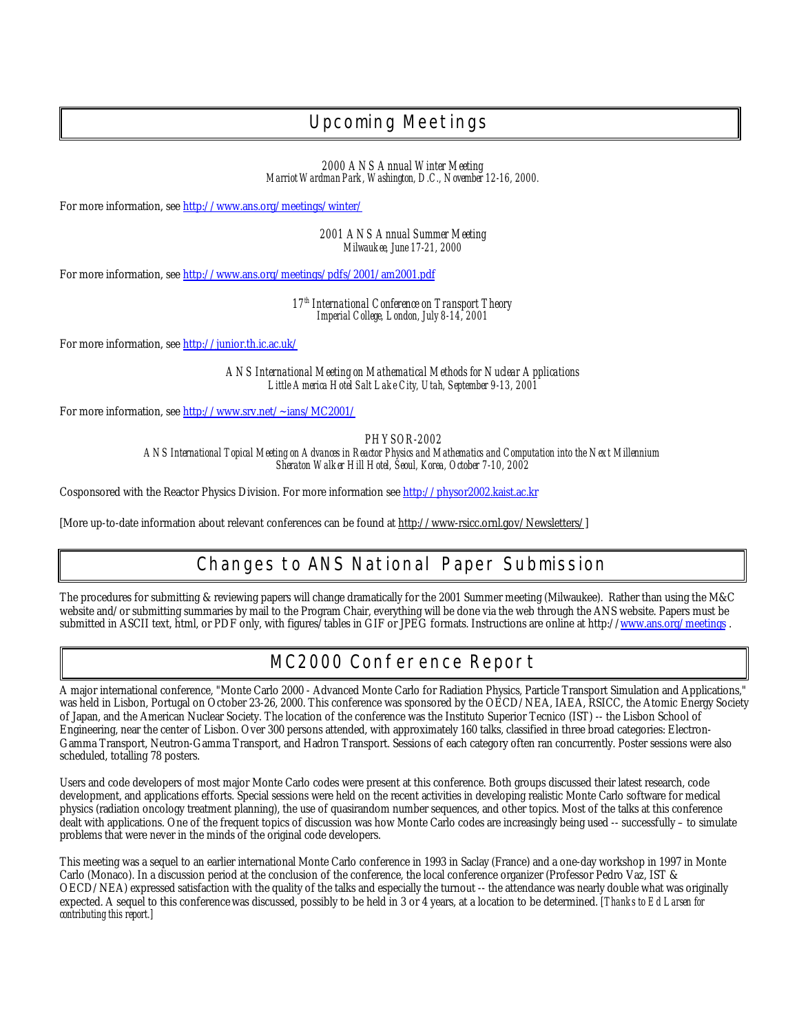# *Upcoming Meetings*

*2000 ANS Annual Winter Meeting Marriot Wardman Park, Washington, D.C., November 12-16, 2000.*

For more information, see http://www.ans.org/meetings/winter/

*2001 ANS Annual Summer Meeting Milwaukee, June 17-21, 2000*

For more information, see http://www.ans.org/meetings/pdfs/2001/am2001.pdf

*17th International Conference on Transport Theory Imperial College, London, July 8-14, 2001*

For more information, see http://junior.th.ic.ac.uk/

*ANS International Meeting on Mathematical Methods for Nuclear Applications Little America Hotel Salt Lake City, Utah, September 9-13, 2001*

For more information, see http://www.srv.net/~ians/MC2001/

*PHYSOR-2002*

*ANS International Topical Meeting on Advances in Reactor Physics and Mathematics and Computation into the Next Millennium Sheraton Walker Hill Hotel, Seoul, Korea, October 7-10, 2002*

Cosponsored with the Reactor Physics Division. For more information see http://physor2002.kaist.ac.kr

[More up-to-date information about relevant conferences can be found at http://www-rsicc.ornl.gov/Newsletters/]

# *Changes to ANS National Paper Submission*

The procedures for submitting & reviewing papers will change dramatically for the 2001 Summer meeting (Milwaukee). Rather than using the M&C website and/or submitting summaries by mail to the Program Chair, everything will be done via the web through the ANS website. Papers must be submitted in ASCII text, html, or PDF only, with figures/tables in GIF or JPEG formats. Instructions are online at http://www.ans.org/meetings.

# *MC2000 Conference Report*

A major international conference, "Monte Carlo 2000 - Advanced Monte Carlo for Radiation Physics, Particle Transport Simulation and Applications," was held in Lisbon, Portugal on October 23-26, 2000. This conference was sponsored by the OECD/NEA, IAEA, RSICC, the Atomic Energy Society of Japan, and the American Nuclear Society. The location of the conference was the Instituto Superior Tecnico (IST) -- the Lisbon School of Engineering, near the center of Lisbon. Over 300 persons attended, with approximately 160 talks, classified in three broad categories: Electron-Gamma Transport, Neutron-Gamma Transport, and Hadron Transport. Sessions of each category often ran concurrently. Poster sessions were also scheduled, totalling 78 posters.

Users and code developers of most major Monte Carlo codes were present at this conference. Both groups discussed their latest research, code development, and applications efforts. Special sessions were held on the recent activities in developing realistic Monte Carlo software for medical physics (radiation oncology treatment planning), the use of quasirandom number sequences, and other topics. Most of the talks at this conference dealt with applications. One of the frequent topics of discussion was how Monte Carlo codes are increasingly being used -- successfully – to simulate problems that were never in the minds of the original code developers.

This meeting was a sequel to an earlier international Monte Carlo conference in 1993 in Saclay (France) and a one-day workshop in 1997 in Monte Carlo (Monaco). In a discussion period at the conclusion of the conference, the local conference organizer (Professor Pedro Vaz, IST & OECD/NEA) expressed satisfaction with the quality of the talks and especially the turnout -- the attendance was nearly double what was originally expected. A sequel to this conference was discussed, possibly to be held in 3 or 4 years, at a location to be determined. *[Thanks to Ed Larsen for contributing this report.]*